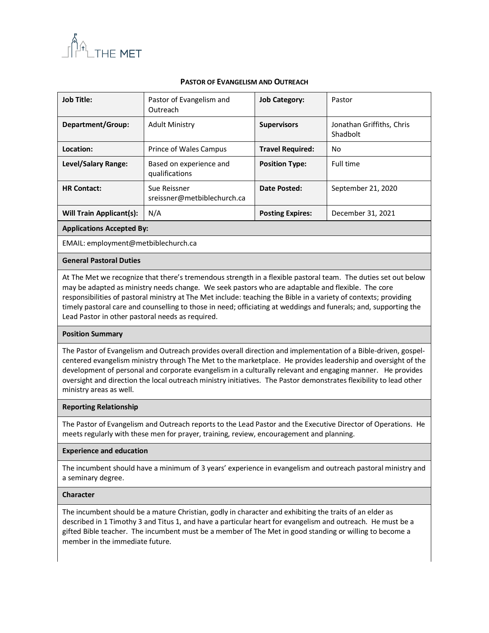

## **PASTOR OF EVANGELISM AND OUTREACH**

| <b>Job Title:</b>        | Pastor of Evangelism and<br>Outreach        | <b>Job Category:</b>    | Pastor                                |
|--------------------------|---------------------------------------------|-------------------------|---------------------------------------|
| Department/Group:        | <b>Adult Ministry</b>                       | <b>Supervisors</b>      | Jonathan Griffiths, Chris<br>Shadbolt |
| Location:                | Prince of Wales Campus                      | <b>Travel Required:</b> | No                                    |
| Level/Salary Range:      | Based on experience and<br>qualifications   | <b>Position Type:</b>   | Full time                             |
| <b>HR Contact:</b>       | Sue Reissner<br>sreissner@metbiblechurch.ca | Date Posted:            | September 21, 2020                    |
| Will Train Applicant(s): | N/A                                         | <b>Posting Expires:</b> | December 31, 2021                     |

**Applications Accepted By:**

EMAIL: employment@metbiblechurch.ca

### **General Pastoral Duties**

At The Met we recognize that there's tremendous strength in a flexible pastoral team. The duties set out below may be adapted as ministry needs change. We seek pastors who are adaptable and flexible. The core responsibilities of pastoral ministry at The Met include: teaching the Bible in a variety of contexts; providing timely pastoral care and counselling to those in need; officiating at weddings and funerals; and, supporting the Lead Pastor in other pastoral needs as required.

#### **Position Summary**

The Pastor of Evangelism and Outreach provides overall direction and implementation of a Bible-driven, gospelcentered evangelism ministry through The Met to the marketplace. He provides leadership and oversight of the development of personal and corporate evangelism in a culturally relevant and engaging manner. He provides oversight and direction the local outreach ministry initiatives. The Pastor demonstrates flexibility to lead other ministry areas as well.

#### **Reporting Relationship**

The Pastor of Evangelism and Outreach reports to the Lead Pastor and the Executive Director of Operations. He meets regularly with these men for prayer, training, review, encouragement and planning.

## **Experience and education**

The incumbent should have a minimum of 3 years' experience in evangelism and outreach pastoral ministry and a seminary degree.

#### **Character**

The incumbent should be a mature Christian, godly in character and exhibiting the traits of an elder as described in 1 Timothy 3 and Titus 1, and have a particular heart for evangelism and outreach. He must be a gifted Bible teacher. The incumbent must be a member of The Met in good standing or willing to become a member in the immediate future.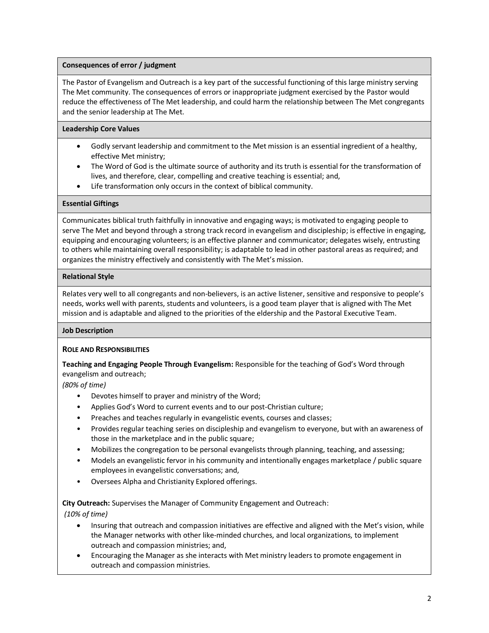## **Consequences of error / judgment**

The Pastor of Evangelism and Outreach is a key part of the successful functioning of this large ministry serving The Met community. The consequences of errors or inappropriate judgment exercised by the Pastor would reduce the effectiveness of The Met leadership, and could harm the relationship between The Met congregants and the senior leadership at The Met.

## **Leadership Core Values**

- Godly servant leadership and commitment to the Met mission is an essential ingredient of a healthy, effective Met ministry;
- The Word of God is the ultimate source of authority and its truth is essential for the transformation of lives, and therefore, clear, compelling and creative teaching is essential; and,
- Life transformation only occurs in the context of biblical community.

# **Essential Giftings**

Communicates biblical truth faithfully in innovative and engaging ways; is motivated to engaging people to serve The Met and beyond through a strong track record in evangelism and discipleship; is effective in engaging, equipping and encouraging volunteers; is an effective planner and communicator; delegates wisely, entrusting to others while maintaining overall responsibility; is adaptable to lead in other pastoral areas as required; and organizes the ministry effectively and consistently with The Met's mission.

# **Relational Style**

Relates very well to all congregants and non-believers, is an active listener, sensitive and responsive to people's needs, works well with parents, students and volunteers, is a good team player that is aligned with The Met mission and is adaptable and aligned to the priorities of the eldership and the Pastoral Executive Team.

## **Job Description**

## **ROLE AND RESPONSIBILITIES**

**Teaching and Engaging People Through Evangelism:** Responsible for the teaching of God's Word through evangelism and outreach;

*(80% of time)*

- Devotes himself to prayer and ministry of the Word;
- Applies God's Word to current events and to our post-Christian culture;
- Preaches and teaches regularly in evangelistic events, courses and classes;
- Provides regular teaching series on discipleship and evangelism to everyone, but with an awareness of those in the marketplace and in the public square;
- Mobilizes the congregation to be personal evangelists through planning, teaching, and assessing;
- Models an evangelistic fervor in his community and intentionally engages marketplace / public square employees in evangelistic conversations; and,
- Oversees Alpha and Christianity Explored offerings.

**City Outreach:** Supervises the Manager of Community Engagement and Outreach:

*(10% of time)*

- Insuring that outreach and compassion initiatives are effective and aligned with the Met's vision, while the Manager networks with other like-minded churches, and local organizations, to implement outreach and compassion ministries; and,
- Encouraging the Manager as she interacts with Met ministry leaders to promote engagement in outreach and compassion ministries.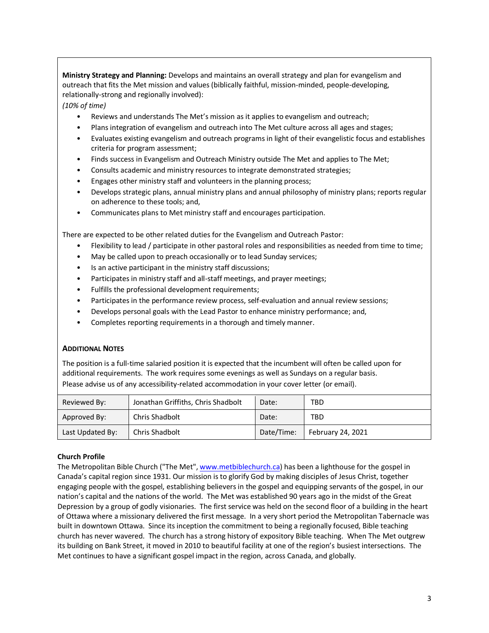**Ministry Strategy and Planning:** Develops and maintains an overall strategy and plan for evangelism and outreach that fits the Met mission and values (biblically faithful, mission-minded, people-developing, relationally-strong and regionally involved):

*(10% of time)*

- Reviews and understands The Met's mission as it applies to evangelism and outreach;
- Plans integration of evangelism and outreach into The Met culture across all ages and stages;
- Evaluates existing evangelism and outreach programs in light of their evangelistic focus and establishes criteria for program assessment;
- Finds success in Evangelism and Outreach Ministry outside The Met and applies to The Met;
- Consults academic and ministry resources to integrate demonstrated strategies;
- Engages other ministry staff and volunteers in the planning process;
- Develops strategic plans, annual ministry plans and annual philosophy of ministry plans; reports regular on adherence to these tools; and,
- Communicates plans to Met ministry staff and encourages participation.

There are expected to be other related duties for the Evangelism and Outreach Pastor:

- Flexibility to lead / participate in other pastoral roles and responsibilities as needed from time to time;
- May be called upon to preach occasionally or to lead Sunday services;
- Is an active participant in the ministry staff discussions;
- Participates in ministry staff and all-staff meetings, and prayer meetings;
- Fulfills the professional development requirements;
- Participates in the performance review process, self-evaluation and annual review sessions;
- Develops personal goals with the Lead Pastor to enhance ministry performance; and,
- Completes reporting requirements in a thorough and timely manner.

#### **ADDITIONAL NOTES**

The position is a full-time salaried position it is expected that the incumbent will often be called upon for additional requirements. The work requires some evenings as well as Sundays on a regular basis. Please advise us of any accessibility-related accommodation in your cover letter (or email).

| Reviewed By:     | Jonathan Griffiths, Chris Shadbolt | Date:      | TBD               |
|------------------|------------------------------------|------------|-------------------|
| Approved By:     | Chris Shadbolt                     | Date:      | TBD               |
| Last Updated By: | Chris Shadbolt                     | Date/Time: | February 24, 2021 |

## **Church Profile**

The Metropolitan Bible Church ("The Met", www.m[etbiblechurch.ca\)](http://www.metbiblechurch.ca/) has been a lighthouse for the gospel in Canada's capital region since 1931. Our mission is to glorify God by making disciples of Jesus Christ, together engaging people with the gospel, establishing believers in the gospel and equipping servants of the gospel, in our nation's capital and the nations of the world. The Met was established 90 years ago in the midst of the Great Depression by a group of godly visionaries. The first service was held on the second floor of a building in the heart of Ottawa where a missionary delivered the first message. In a very short period the Metropolitan Tabernacle was built in downtown Ottawa. Since its inception the commitment to being a regionally focused, Bible teaching church has never wavered. The church has a strong history of expository Bible teaching. When The Met outgrew its building on Bank Street, it moved in 2010 to beautiful facility at one of the region's busiest intersections. The Met continues to have a significant gospel impact in the region, across Canada, and globally.